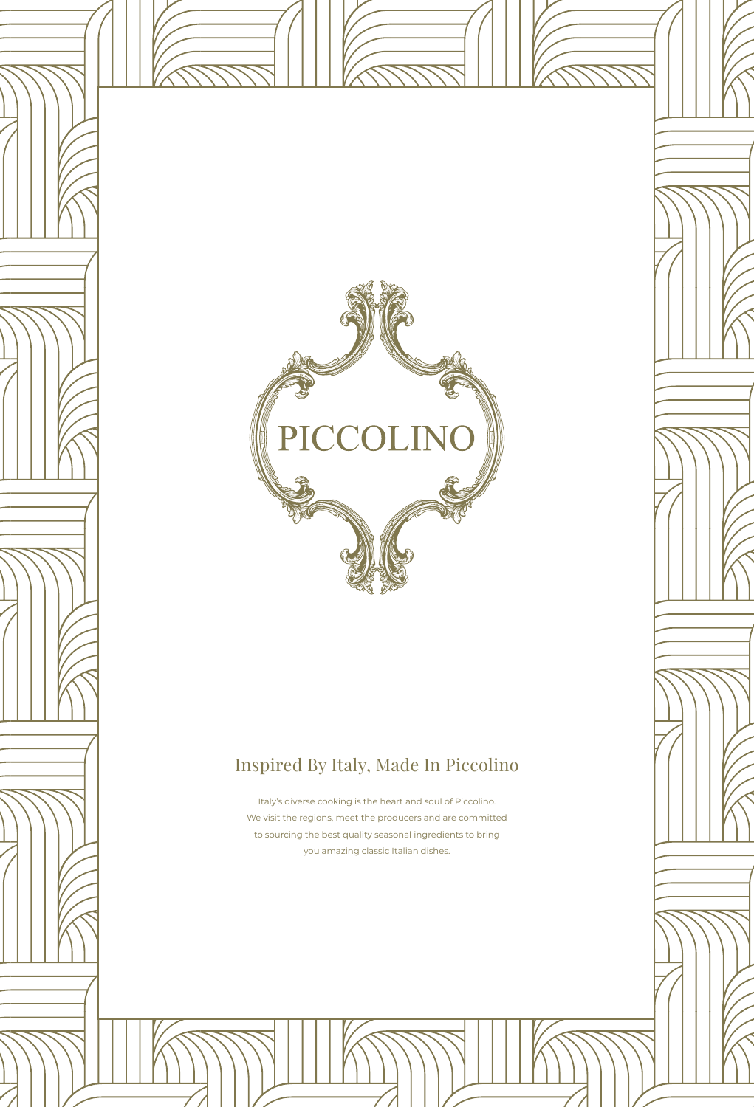